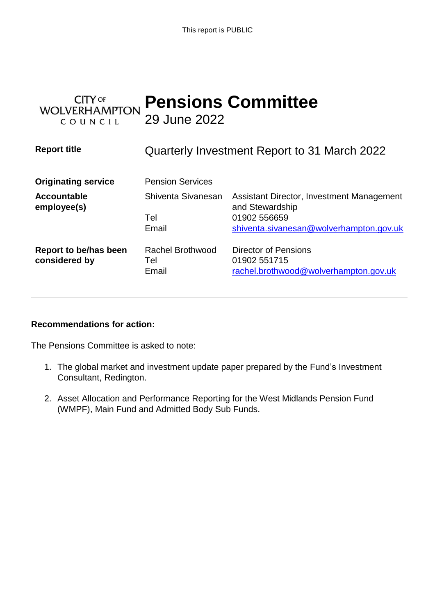This report is PUBLIC

| $TY$ of<br><b>WOLVERHAMPTON</b><br>COUNCIL | 29 June 2022                            | <b>Pensions Committee</b>                                                                                               |
|--------------------------------------------|-----------------------------------------|-------------------------------------------------------------------------------------------------------------------------|
| <b>Report title</b>                        |                                         | Quarterly Investment Report to 31 March 2022                                                                            |
| <b>Originating service</b>                 | <b>Pension Services</b>                 |                                                                                                                         |
| <b>Accountable</b><br>employee(s)          | Shiventa Sivanesan<br>Tel<br>Email      | Assistant Director, Investment Management<br>and Stewardship<br>01902 556659<br>shiventa.sivanesan@wolverhampton.gov.uk |
| Report to be/has been<br>considered by     | <b>Rachel Brothwood</b><br>Tel<br>Email | Director of Pensions<br>01902 551715<br>rachel.brothwood@wolverhampton.gov.uk                                           |

# **Recommendations for action:**

The Pensions Committee is asked to note:

- 1. The global market and investment update paper prepared by the Fund's Investment Consultant, Redington.
- 2. Asset Allocation and Performance Reporting for the West Midlands Pension Fund (WMPF), Main Fund and Admitted Body Sub Funds.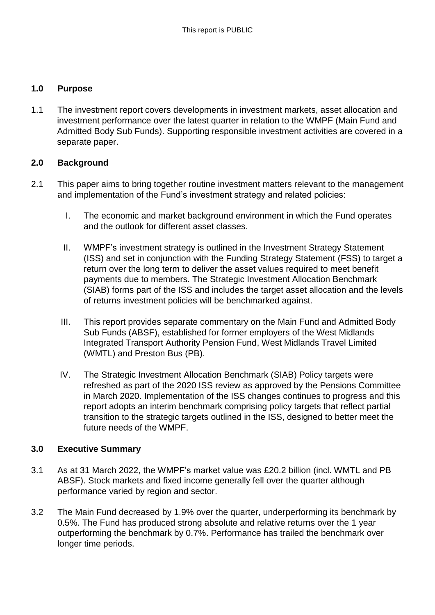#### **1.0 Purpose**

1.1 The investment report covers developments in investment markets, asset allocation and investment performance over the latest quarter in relation to the WMPF (Main Fund and Admitted Body Sub Funds). Supporting responsible investment activities are covered in a separate paper.

#### **2.0 Background**

- 2.1 This paper aims to bring together routine investment matters relevant to the management and implementation of the Fund's investment strategy and related policies:
	- I. The economic and market background environment in which the Fund operates and the outlook for different asset classes.
	- II. WMPF's investment strategy is outlined in the Investment Strategy Statement (ISS) and set in conjunction with the Funding Strategy Statement (FSS) to target a return over the long term to deliver the asset values required to meet benefit payments due to members. The Strategic Investment Allocation Benchmark (SIAB) forms part of the ISS and includes the target asset allocation and the levels of returns investment policies will be benchmarked against.
	- III. This report provides separate commentary on the Main Fund and Admitted Body Sub Funds (ABSF), established for former employers of the West Midlands Integrated Transport Authority Pension Fund, West Midlands Travel Limited (WMTL) and Preston Bus (PB).
	- IV. The Strategic Investment Allocation Benchmark (SIAB) Policy targets were refreshed as part of the 2020 ISS review as approved by the Pensions Committee in March 2020. Implementation of the ISS changes continues to progress and this report adopts an interim benchmark comprising policy targets that reflect partial transition to the strategic targets outlined in the ISS, designed to better meet the future needs of the WMPF.

#### **3.0 Executive Summary**

- 3.1 As at 31 March 2022, the WMPF's market value was £20.2 billion (incl. WMTL and PB ABSF). Stock markets and fixed income generally fell over the quarter although performance varied by region and sector.
- 3.2 The Main Fund decreased by 1.9% over the quarter, underperforming its benchmark by 0.5%. The Fund has produced strong absolute and relative returns over the 1 year outperforming the benchmark by 0.7%. Performance has trailed the benchmark over longer time periods.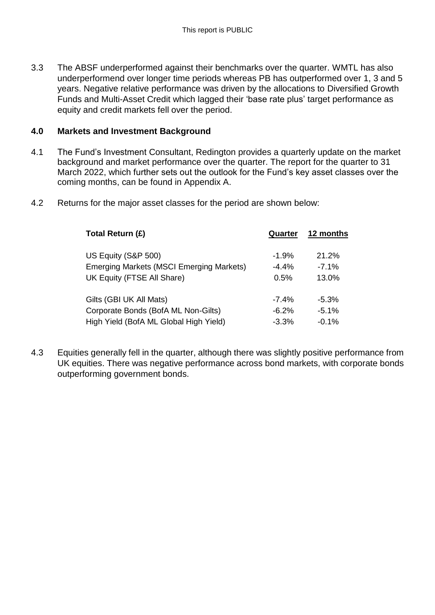3.3 The ABSF underperformed against their benchmarks over the quarter. WMTL has also underperformend over longer time periods whereas PB has outperformed over 1, 3 and 5 years. Negative relative performance was driven by the allocations to Diversified Growth Funds and Multi-Asset Credit which lagged their 'base rate plus' target performance as equity and credit markets fell over the period.

#### **4.0 Markets and Investment Background**

- 4.1 The Fund's Investment Consultant, Redington provides a quarterly update on the market background and market performance over the quarter. The report for the quarter to 31 March 2022, which further sets out the outlook for the Fund's key asset classes over the coming months, can be found in Appendix A.
- 4.2 Returns for the major asset classes for the period are shown below:

| Total Return (£)                                | Quarter | 12 months |
|-------------------------------------------------|---------|-----------|
| US Equity (S&P 500)                             | $-1.9%$ | 21.2%     |
| <b>Emerging Markets (MSCI Emerging Markets)</b> | $-4.4%$ | $-7.1%$   |
| UK Equity (FTSE All Share)                      | 0.5%    | 13.0%     |
| Gilts (GBI UK All Mats)                         | $-7.4%$ | $-5.3\%$  |
| Corporate Bonds (BofA ML Non-Gilts)             | $-6.2%$ | $-5.1\%$  |
| High Yield (BofA ML Global High Yield)          | $-3.3%$ | $-0.1%$   |

4.3 Equities generally fell in the quarter, although there was slightly positive performance from UK equities. There was negative performance across bond markets, with corporate bonds outperforming government bonds.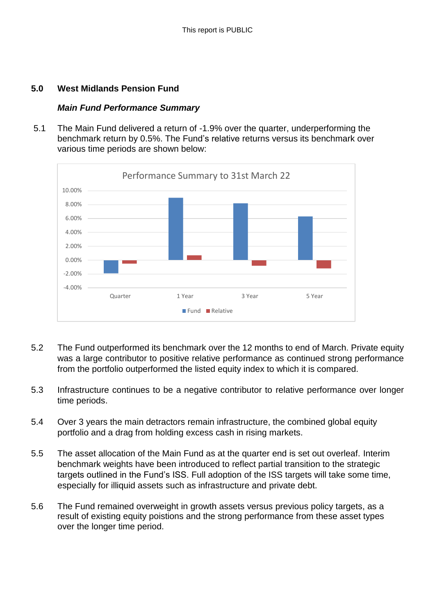#### **5.0 West Midlands Pension Fund**

#### *Main Fund Performance Summary*

5.1 The Main Fund delivered a return of -1.9% over the quarter, underperforming the benchmark return by 0.5%. The Fund's relative returns versus its benchmark over various time periods are shown below:



- 5.2 The Fund outperformed its benchmark over the 12 months to end of March. Private equity was a large contributor to positive relative performance as continued strong performance from the portfolio outperformed the listed equity index to which it is compared.
- 5.3 Infrastructure continues to be a negative contributor to relative performance over longer time periods.
- 5.4 Over 3 years the main detractors remain infrastructure, the combined global equity portfolio and a drag from holding excess cash in rising markets.
- 5.5 The asset allocation of the Main Fund as at the quarter end is set out overleaf. Interim benchmark weights have been introduced to reflect partial transition to the strategic targets outlined in the Fund's ISS. Full adoption of the ISS targets will take some time, especially for illiquid assets such as infrastructure and private debt.
- 5.6 The Fund remained overweight in growth assets versus previous policy targets, as a result of existing equity poistions and the strong performance from these asset types over the longer time period.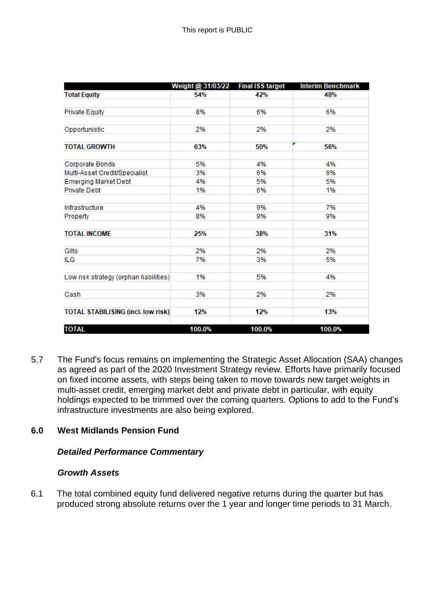|                                           | Weight @ 31/03/22 | <b>Final ISS target</b> | <b>Interim Benchmark</b> |
|-------------------------------------------|-------------------|-------------------------|--------------------------|
| <b>Total Equity</b>                       | 54%               | 42%                     | 48%                      |
|                                           |                   |                         |                          |
| <b>Private Equity</b>                     | 8%                | 6%                      | 6%                       |
|                                           |                   |                         |                          |
| Opportunistic                             | 2%                | 2%                      | 2%                       |
|                                           |                   |                         |                          |
| <b>TOTAL GROWTH</b>                       | 63%               | 50%                     | 56%                      |
|                                           |                   |                         |                          |
| Corporate Bonds                           | 5%                | 4%                      | 4%                       |
| Multi-Asset Credit/Specialist             | 3%                | 6%                      | 6%                       |
| <b>Emerging Market Debt</b>               | 4%                | 5%                      | 5%                       |
| <b>Private Debt</b>                       | 1%                | 6%                      | 1%                       |
|                                           |                   |                         |                          |
| Infrastructure                            | 4%                | 9%                      | 7%                       |
| Property                                  | 8%                | 9%                      | 9%                       |
|                                           |                   |                         |                          |
| <b>TOTAL INCOME</b>                       | 25%               | 38%                     | 31%                      |
|                                           |                   |                         |                          |
| Gilts                                     | 2%                | 2%                      | 2%                       |
| <b>ILG</b>                                | 7%                | 3%                      | 5%                       |
|                                           |                   |                         |                          |
| Low risk strategy (orphan liabilities)    | 1%                | 5%                      | 4%                       |
|                                           |                   |                         |                          |
| Cash                                      | 3%                | 2%                      | 2%                       |
|                                           |                   |                         |                          |
| <b>TOTAL STABILISING (incl. low risk)</b> | 12%               | 12%                     | 13%                      |
|                                           |                   |                         |                          |
| <b>TOTAL</b>                              | 100.0%            | 100.0%                  | 100.0%                   |

5.7 The Fund's focus remains on implementing the Strategic Asset Allocation (SAA) changes as agreed as part of the 2020 Investment Strategy review. Efforts have primarily focused on fixed income assets, with steps being taken to move towards new target weights in multi-asset credit, emerging market debt and private debt in particular, with equity holdings expected to be trimmed over the coming quarters. Options to add to the Fund's infrastructure investments are also being explored.

# **6.0 West Midlands Pension Fund**

# *Detailed Performance Commentary*

#### *Growth Assets*

6.1 The total combined equity fund delivered negative returns during the quarter but has produced strong absolute returns over the 1 year and longer time periods to 31 March.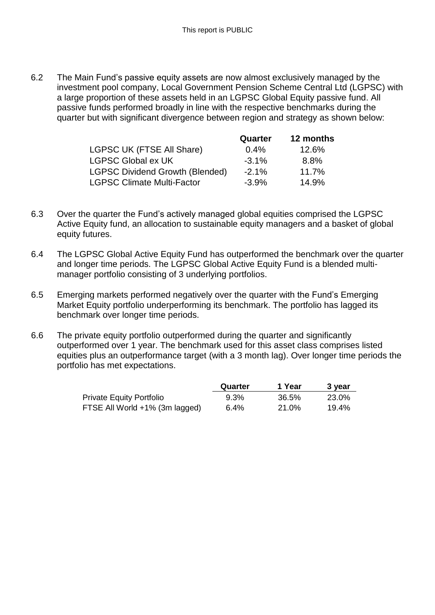6.2 The Main Fund's passive equity assets are now almost exclusively managed by the investment pool company, Local Government Pension Scheme Central Ltd (LGPSC) with a large proportion of these assets held in an LGPSC Global Equity passive fund. All passive funds performed broadly in line with the respective benchmarks during the quarter but with significant divergence between region and strategy as shown below:

|                                        | Quarter  | 12 months |
|----------------------------------------|----------|-----------|
| <b>LGPSC UK (FTSE All Share)</b>       | $0.4\%$  | 12.6%     |
| <b>LGPSC Global ex UK</b>              | $-3.1\%$ | 8.8%      |
| <b>LGPSC Dividend Growth (Blended)</b> | $-2.1%$  | 11.7%     |
| <b>LGPSC Climate Multi-Factor</b>      | $-3.9\%$ | 14.9%     |

- 6.3 Over the quarter the Fund's actively managed global equities comprised the LGPSC Active Equity fund, an allocation to sustainable equity managers and a basket of global equity futures.
- 6.4 The LGPSC Global Active Equity Fund has outperformed the benchmark over the quarter and longer time periods. The LGPSC Global Active Equity Fund is a blended multimanager portfolio consisting of 3 underlying portfolios.
- 6.5 Emerging markets performed negatively over the quarter with the Fund's Emerging Market Equity portfolio underperforming its benchmark. The portfolio has lagged its benchmark over longer time periods.
- 6.6 The private equity portfolio outperformed during the quarter and significantly outperformed over 1 year. The benchmark used for this asset class comprises listed equities plus an outperformance target (with a 3 month lag). Over longer time periods the portfolio has met expectations.

|                                | Quarter | 1 Year | 3 year |
|--------------------------------|---------|--------|--------|
| Private Equity Portfolio       | 9.3%    | 36.5%  | 23.0%  |
| FTSE All World +1% (3m lagged) | $6.4\%$ | 21.0%  | 19.4%  |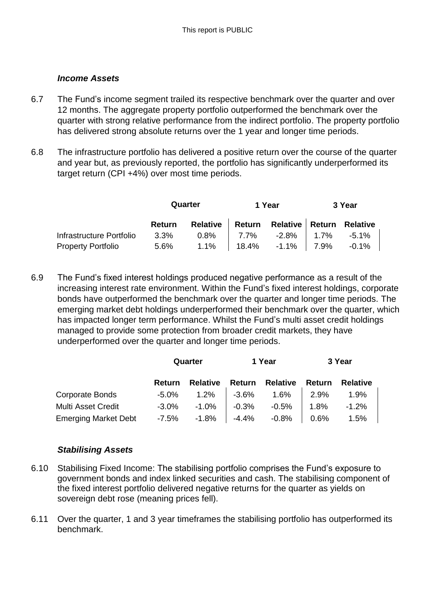#### *Income Assets*

- 6.7 The Fund's income segment trailed its respective benchmark over the quarter and over 12 months. The aggregate property portfolio outperformed the benchmark over the quarter with strong relative performance from the indirect portfolio. The property portfolio has delivered strong absolute returns over the 1 year and longer time periods.
- 6.8 The infrastructure portfolio has delivered a positive return over the course of the quarter and year but, as previously reported, the portfolio has significantly underperformed its target return (CPI +4%) over most time periods.

|                                                         | Quarter |                                                   | 1 Year | 3 Year |  |
|---------------------------------------------------------|---------|---------------------------------------------------|--------|--------|--|
|                                                         |         | Return Relative Return Relative Return Relative   |        |        |  |
| Infrastructure Portfolio                                |         | $3.3\%$ $0.8\%$ $7.7\%$ $-2.8\%$ $1.7\%$ $-5.1\%$ |        |        |  |
| Property Portfolio 5.6% 1.1%   18.4% -1.1%   7.9% -0.1% |         |                                                   |        |        |  |

6.9 The Fund's fixed interest holdings produced negative performance as a result of the increasing interest rate environment. Within the Fund's fixed interest holdings, corporate bonds have outperformed the benchmark over the quarter and longer time periods. The emerging market debt holdings underperformed their benchmark over the quarter, which has impacted longer term performance. Whilst the Fund's multi asset credit holdings managed to provide some protection from broader credit markets, they have underperformed over the quarter and longer time periods.

|                             | Quarter       |          | 1 Year |                                                      | 3 Year |                 |
|-----------------------------|---------------|----------|--------|------------------------------------------------------|--------|-----------------|
|                             | <b>Return</b> | Relative |        | <b>Return Relative</b>                               | Return | <b>Relative</b> |
| Corporate Bonds             |               |          |        | $-5.0\%$ 1.2% $-3.6\%$ 1.6% 2.9%                     |        | 1.9%            |
| Multi Asset Credit          |               |          |        | $-3.0\%$ $-1.0\%$ $-0.3\%$ $-0.5\%$ $1.8\%$ $-1.2\%$ |        |                 |
| <b>Emerging Market Debt</b> | -7.5%         |          |        | $-1.8\%$ $-4.4\%$ $-0.8\%$ 0.6%                      |        | 1.5%            |

# *Stabilising Assets*

- 6.10 Stabilising Fixed Income: The stabilising portfolio comprises the Fund's exposure to government bonds and index linked securities and cash. The stabilising component of the fixed interest portfolio delivered negative returns for the quarter as yields on sovereign debt rose (meaning prices fell).
- 6.11 Over the quarter, 1 and 3 year timeframes the stabilising portfolio has outperformed its benchmark.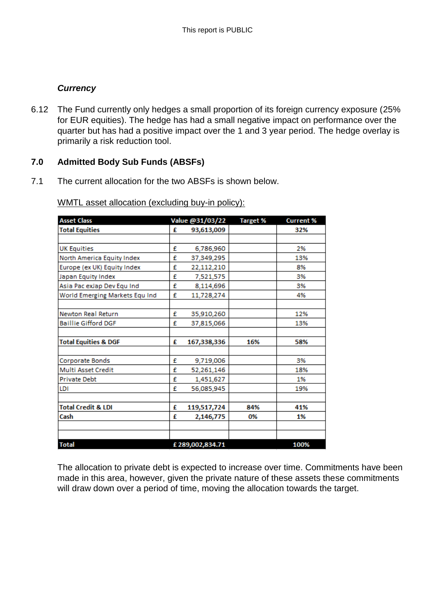# *Currency*

6.12 The Fund currently only hedges a small proportion of its foreign currency exposure (25% for EUR equities). The hedge has had a small negative impact on performance over the quarter but has had a positive impact over the 1 and 3 year period. The hedge overlay is primarily a risk reduction tool.

# **7.0 Admitted Body Sub Funds (ABSFs)**

7.1 The current allocation for the two ABSFs is shown below.

| <b>Asset Class</b>              |   | Value @31/03/22 | <b>Target %</b> | <b>Current %</b> |
|---------------------------------|---|-----------------|-----------------|------------------|
| <b>Total Equities</b>           | £ | 93,613,009      |                 | 32%              |
|                                 |   |                 |                 |                  |
| <b>UK Equities</b>              | £ | 6,786,960       |                 | 2%               |
| North America Equity Index      | £ | 37,349,295      |                 | 13%              |
| Europe (ex UK) Equity Index     | £ | 22,112,210      |                 | 8%               |
| Japan Equity Index              | £ | 7,521,575       |                 | 3%               |
| Asia Pac exJap Dev Equ Ind      | £ | 8,114,696       |                 | 3%               |
| World Emerging Markets Equ Ind  | £ | 11,728,274      |                 | 4%               |
|                                 |   |                 |                 |                  |
| <b>Newton Real Return</b>       | £ | 35,910,260      |                 | 12%              |
| <b>Baillie Gifford DGF</b>      | £ | 37,815,066      |                 | 13%              |
|                                 |   |                 |                 |                  |
| <b>Total Equities &amp; DGF</b> | £ | 167,338,336     | 16%             | 58%              |
|                                 |   |                 |                 |                  |
| Corporate Bonds                 | £ | 9,719,006       |                 | 3%               |
| Multi Asset Credit              | £ | 52,261,146      |                 | 18%              |
| <b>Private Debt</b>             | £ | 1,451,627       |                 | 1%               |
| LDI                             | £ | 56,085,945      |                 | 19%              |
|                                 |   |                 |                 |                  |
| <b>Total Credit &amp; LDI</b>   | £ | 119,517,724     | 84%             | 41%              |
| Cash                            | £ | 2,146,775       | 0%              | 1%               |
|                                 |   |                 |                 |                  |
|                                 |   |                 |                 |                  |
| <b>Total</b>                    |   | £289,002,834.71 |                 | 100%             |

WMTL asset allocation (excluding buy-in policy):

The allocation to private debt is expected to increase over time. Commitments have been made in this area, however, given the private nature of these assets these commitments will draw down over a period of time, moving the allocation towards the target.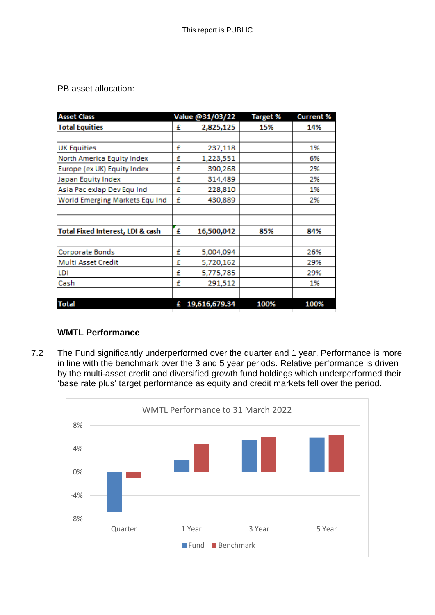# PB asset allocation:

| <b>Asset Class</b>               |   | Value @31/03/22 | <b>Target %</b> | <b>Current %</b> |
|----------------------------------|---|-----------------|-----------------|------------------|
| <b>Total Equities</b>            | £ | 2,825,125       | 15%             | 14%              |
|                                  |   |                 |                 |                  |
| <b>UK Equities</b>               | £ | 237,118         |                 | 1%               |
| North America Equity Index       | £ | 1,223,551       |                 | 6%               |
| Europe (ex UK) Equity Index      | £ | 390,268         |                 | 2%               |
| Japan Equity Index               | £ | 314,489         |                 | 2%               |
| Asia Pac exJap Dev Equ Ind       | £ | 228,810         |                 | 1%               |
| World Emerging Markets Equ Ind   | £ | 430,889         |                 | 2%               |
|                                  |   |                 |                 |                  |
|                                  |   |                 |                 |                  |
| Total Fixed Interest, LDI & cash | £ | 16,500,042      | 85%             | 84%              |
|                                  |   |                 |                 |                  |
| Corporate Bonds                  | £ | 5,004,094       |                 | 26%              |
| Multi Asset Credit               | £ | 5,720,162       |                 | 29%              |
| LDI                              | £ | 5,775,785       |                 | 29%              |
| Cash                             | £ | 291,512         |                 | 1%               |
|                                  |   |                 |                 |                  |
| <b>Total</b>                     |   | £ 19,616,679.34 | 100%            | 100%             |

# **WMTL Performance**

7.2 The Fund significantly underperformed over the quarter and 1 year. Performance is more in line with the benchmark over the 3 and 5 year periods. Relative performance is driven by the multi-asset credit and diversified growth fund holdings which underperformed their 'base rate plus' target performance as equity and credit markets fell over the period.

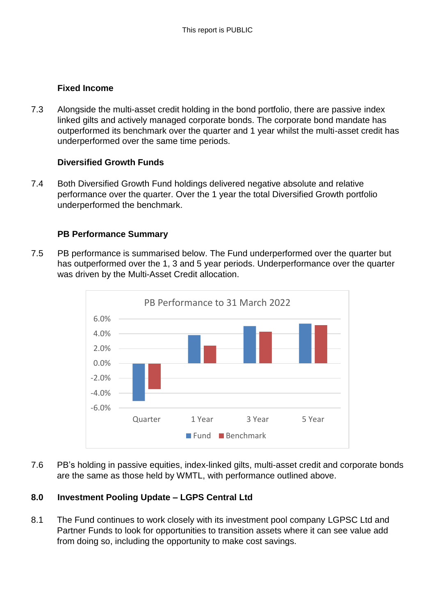#### **Fixed Income**

7.3 Alongside the multi-asset credit holding in the bond portfolio, there are passive index linked gilts and actively managed corporate bonds. The corporate bond mandate has outperformed its benchmark over the quarter and 1 year whilst the multi-asset credit has underperformed over the same time periods.

# **Diversified Growth Funds**

7.4 Both Diversified Growth Fund holdings delivered negative absolute and relative performance over the quarter. Over the 1 year the total Diversified Growth portfolio underperformed the benchmark.

#### **PB Performance Summary**

7.5 PB performance is summarised below. The Fund underperformed over the quarter but has outperformed over the 1, 3 and 5 year periods. Underperformance over the quarter was driven by the Multi-Asset Credit allocation.



7.6 PB's holding in passive equities, index-linked gilts, multi-asset credit and corporate bonds are the same as those held by WMTL, with performance outlined above.

# **8.0 Investment Pooling Update – LGPS Central Ltd**

8.1 The Fund continues to work closely with its investment pool company LGPSC Ltd and Partner Funds to look for opportunities to transition assets where it can see value add from doing so, including the opportunity to make cost savings.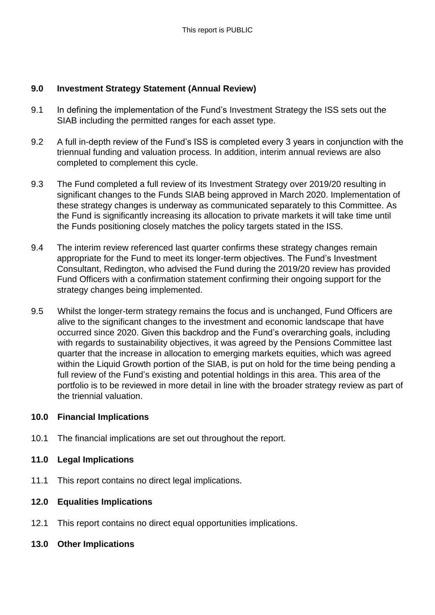# **9.0 Investment Strategy Statement (Annual Review)**

- 9.1 In defining the implementation of the Fund's Investment Strategy the ISS sets out the SIAB including the permitted ranges for each asset type.
- 9.2 A full in-depth review of the Fund's ISS is completed every 3 years in conjunction with the triennual funding and valuation process. In addition, interim annual reviews are also completed to complement this cycle.
- 9.3 The Fund completed a full review of its Investment Strategy over 2019/20 resulting in significant changes to the Funds SIAB being approved in March 2020. Implementation of these strategy changes is underway as communicated separately to this Committee. As the Fund is significantly increasing its allocation to private markets it will take time until the Funds positioning closely matches the policy targets stated in the ISS.
- 9.4 The interim review referenced last quarter confirms these strategy changes remain appropriate for the Fund to meet its longer-term objectives. The Fund's Investment Consultant, Redington, who advised the Fund during the 2019/20 review has provided Fund Officers with a confirmation statement confirming their ongoing support for the strategy changes being implemented.
- 9.5 Whilst the longer-term strategy remains the focus and is unchanged, Fund Officers are alive to the significant changes to the investment and economic landscape that have occurred since 2020. Given this backdrop and the Fund's overarching goals, including with regards to sustainability objectives, it was agreed by the Pensions Committee last quarter that the increase in allocation to emerging markets equities, which was agreed within the Liquid Growth portion of the SIAB, is put on hold for the time being pending a full review of the Fund's existing and potential holdings in this area. This area of the portfolio is to be reviewed in more detail in line with the broader strategy review as part of the triennial valuation.

# **10.0 Financial Implications**

- 10.1 The financial implications are set out throughout the report.
- **11.0 Legal Implications**
- 11.1 This report contains no direct legal implications.
- **12.0 Equalities Implications**
- 12.1 This report contains no direct equal opportunities implications.
- **13.0 Other Implications**